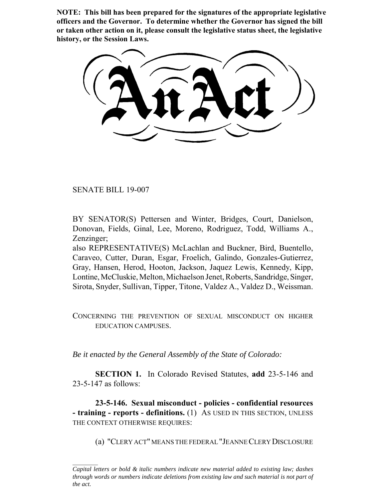**NOTE: This bill has been prepared for the signatures of the appropriate legislative officers and the Governor. To determine whether the Governor has signed the bill or taken other action on it, please consult the legislative status sheet, the legislative history, or the Session Laws.**

SENATE BILL 19-007

BY SENATOR(S) Pettersen and Winter, Bridges, Court, Danielson, Donovan, Fields, Ginal, Lee, Moreno, Rodriguez, Todd, Williams A., Zenzinger;

also REPRESENTATIVE(S) McLachlan and Buckner, Bird, Buentello, Caraveo, Cutter, Duran, Esgar, Froelich, Galindo, Gonzales-Gutierrez, Gray, Hansen, Herod, Hooton, Jackson, Jaquez Lewis, Kennedy, Kipp, Lontine, McCluskie, Melton, Michaelson Jenet, Roberts, Sandridge, Singer, Sirota, Snyder, Sullivan, Tipper, Titone, Valdez A., Valdez D., Weissman.

CONCERNING THE PREVENTION OF SEXUAL MISCONDUCT ON HIGHER EDUCATION CAMPUSES.

*Be it enacted by the General Assembly of the State of Colorado:*

**SECTION 1.** In Colorado Revised Statutes, **add** 23-5-146 and 23-5-147 as follows:

**23-5-146. Sexual misconduct - policies - confidential resources - training - reports - definitions.** (1) AS USED IN THIS SECTION, UNLESS THE CONTEXT OTHERWISE REQUIRES:

(a) "CLERY ACT" MEANS THE FEDERAL "JEANNE CLERY DISCLOSURE

*Capital letters or bold & italic numbers indicate new material added to existing law; dashes through words or numbers indicate deletions from existing law and such material is not part of the act.*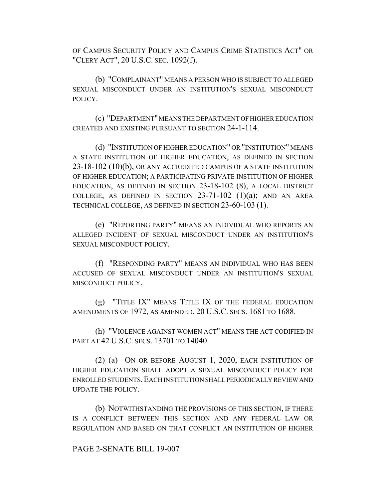OF CAMPUS SECURITY POLICY AND CAMPUS CRIME STATISTICS ACT" OR "CLERY ACT", 20 U.S.C. SEC. 1092(f).

(b) "COMPLAINANT" MEANS A PERSON WHO IS SUBJECT TO ALLEGED SEXUAL MISCONDUCT UNDER AN INSTITUTION'S SEXUAL MISCONDUCT POLICY.

(c) "DEPARTMENT" MEANS THE DEPARTMENT OF HIGHER EDUCATION CREATED AND EXISTING PURSUANT TO SECTION 24-1-114.

(d) "INSTITUTION OF HIGHER EDUCATION" OR "INSTITUTION" MEANS A STATE INSTITUTION OF HIGHER EDUCATION, AS DEFINED IN SECTION 23-18-102 (10)(b), OR ANY ACCREDITED CAMPUS OF A STATE INSTITUTION OF HIGHER EDUCATION; A PARTICIPATING PRIVATE INSTITUTION OF HIGHER EDUCATION, AS DEFINED IN SECTION 23-18-102 (8); A LOCAL DISTRICT COLLEGE, AS DEFINED IN SECTION  $23-71-102$  (1)(a); AND AN AREA TECHNICAL COLLEGE, AS DEFINED IN SECTION 23-60-103 (1).

(e) "REPORTING PARTY" MEANS AN INDIVIDUAL WHO REPORTS AN ALLEGED INCIDENT OF SEXUAL MISCONDUCT UNDER AN INSTITUTION'S SEXUAL MISCONDUCT POLICY.

(f) "RESPONDING PARTY" MEANS AN INDIVIDUAL WHO HAS BEEN ACCUSED OF SEXUAL MISCONDUCT UNDER AN INSTITUTION'S SEXUAL MISCONDUCT POLICY.

(g) "TITLE IX" MEANS TITLE IX OF THE FEDERAL EDUCATION AMENDMENTS OF 1972, AS AMENDED, 20 U.S.C. SECS. 1681 TO 1688.

(h) "VIOLENCE AGAINST WOMEN ACT" MEANS THE ACT CODIFIED IN PART AT 42 U.S.C. SECS. 13701 TO 14040.

(2) (a) ON OR BEFORE AUGUST 1, 2020, EACH INSTITUTION OF HIGHER EDUCATION SHALL ADOPT A SEXUAL MISCONDUCT POLICY FOR ENROLLED STUDENTS.EACH INSTITUTION SHALL PERIODICALLY REVIEW AND UPDATE THE POLICY.

(b) NOTWITHSTANDING THE PROVISIONS OF THIS SECTION, IF THERE IS A CONFLICT BETWEEN THIS SECTION AND ANY FEDERAL LAW OR REGULATION AND BASED ON THAT CONFLICT AN INSTITUTION OF HIGHER

# PAGE 2-SENATE BILL 19-007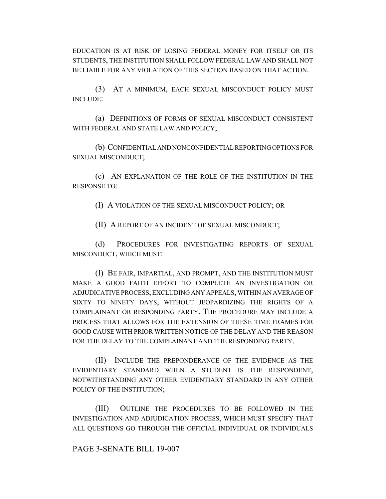EDUCATION IS AT RISK OF LOSING FEDERAL MONEY FOR ITSELF OR ITS STUDENTS, THE INSTITUTION SHALL FOLLOW FEDERAL LAW AND SHALL NOT BE LIABLE FOR ANY VIOLATION OF THIS SECTION BASED ON THAT ACTION.

(3) AT A MINIMUM, EACH SEXUAL MISCONDUCT POLICY MUST INCLUDE:

(a) DEFINITIONS OF FORMS OF SEXUAL MISCONDUCT CONSISTENT WITH FEDERAL AND STATE LAW AND POLICY;

(b) CONFIDENTIAL AND NONCONFIDENTIAL REPORTING OPTIONS FOR SEXUAL MISCONDUCT;

(c) AN EXPLANATION OF THE ROLE OF THE INSTITUTION IN THE RESPONSE TO:

(I) A VIOLATION OF THE SEXUAL MISCONDUCT POLICY; OR

(II) A REPORT OF AN INCIDENT OF SEXUAL MISCONDUCT;

(d) PROCEDURES FOR INVESTIGATING REPORTS OF SEXUAL MISCONDUCT, WHICH MUST:

(I) BE FAIR, IMPARTIAL, AND PROMPT, AND THE INSTITUTION MUST MAKE A GOOD FAITH EFFORT TO COMPLETE AN INVESTIGATION OR ADJUDICATIVE PROCESS, EXCLUDING ANY APPEALS, WITHIN AN AVERAGE OF SIXTY TO NINETY DAYS, WITHOUT JEOPARDIZING THE RIGHTS OF A COMPLAINANT OR RESPONDING PARTY. THE PROCEDURE MAY INCLUDE A PROCESS THAT ALLOWS FOR THE EXTENSION OF THESE TIME FRAMES FOR GOOD CAUSE WITH PRIOR WRITTEN NOTICE OF THE DELAY AND THE REASON FOR THE DELAY TO THE COMPLAINANT AND THE RESPONDING PARTY.

(II) INCLUDE THE PREPONDERANCE OF THE EVIDENCE AS THE EVIDENTIARY STANDARD WHEN A STUDENT IS THE RESPONDENT, NOTWITHSTANDING ANY OTHER EVIDENTIARY STANDARD IN ANY OTHER POLICY OF THE INSTITUTION;

(III) OUTLINE THE PROCEDURES TO BE FOLLOWED IN THE INVESTIGATION AND ADJUDICATION PROCESS, WHICH MUST SPECIFY THAT ALL QUESTIONS GO THROUGH THE OFFICIAL INDIVIDUAL OR INDIVIDUALS

## PAGE 3-SENATE BILL 19-007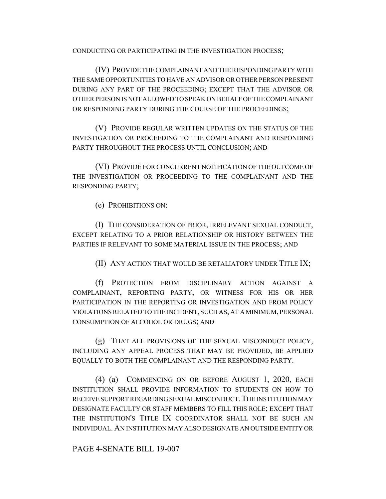CONDUCTING OR PARTICIPATING IN THE INVESTIGATION PROCESS;

(IV) PROVIDE THE COMPLAINANT AND THE RESPONDING PARTY WITH THE SAME OPPORTUNITIES TO HAVE AN ADVISOR OR OTHER PERSON PRESENT DURING ANY PART OF THE PROCEEDING; EXCEPT THAT THE ADVISOR OR OTHER PERSON IS NOT ALLOWED TO SPEAK ON BEHALF OF THE COMPLAINANT OR RESPONDING PARTY DURING THE COURSE OF THE PROCEEDINGS;

(V) PROVIDE REGULAR WRITTEN UPDATES ON THE STATUS OF THE INVESTIGATION OR PROCEEDING TO THE COMPLAINANT AND RESPONDING PARTY THROUGHOUT THE PROCESS UNTIL CONCLUSION; AND

(VI) PROVIDE FOR CONCURRENT NOTIFICATION OF THE OUTCOME OF THE INVESTIGATION OR PROCEEDING TO THE COMPLAINANT AND THE RESPONDING PARTY;

(e) PROHIBITIONS ON:

(I) THE CONSIDERATION OF PRIOR, IRRELEVANT SEXUAL CONDUCT, EXCEPT RELATING TO A PRIOR RELATIONSHIP OR HISTORY BETWEEN THE PARTIES IF RELEVANT TO SOME MATERIAL ISSUE IN THE PROCESS; AND

(II) ANY ACTION THAT WOULD BE RETALIATORY UNDER TITLE IX;

(f) PROTECTION FROM DISCIPLINARY ACTION AGAINST A COMPLAINANT, REPORTING PARTY, OR WITNESS FOR HIS OR HER PARTICIPATION IN THE REPORTING OR INVESTIGATION AND FROM POLICY VIOLATIONS RELATED TO THE INCIDENT, SUCH AS, AT A MINIMUM, PERSONAL CONSUMPTION OF ALCOHOL OR DRUGS; AND

(g) THAT ALL PROVISIONS OF THE SEXUAL MISCONDUCT POLICY, INCLUDING ANY APPEAL PROCESS THAT MAY BE PROVIDED, BE APPLIED EQUALLY TO BOTH THE COMPLAINANT AND THE RESPONDING PARTY.

(4) (a) COMMENCING ON OR BEFORE AUGUST 1, 2020, EACH INSTITUTION SHALL PROVIDE INFORMATION TO STUDENTS ON HOW TO RECEIVE SUPPORT REGARDING SEXUAL MISCONDUCT. THE INSTITUTION MAY DESIGNATE FACULTY OR STAFF MEMBERS TO FILL THIS ROLE; EXCEPT THAT THE INSTITUTION'S TITLE IX COORDINATOR SHALL NOT BE SUCH AN INDIVIDUAL. AN INSTITUTION MAY ALSO DESIGNATE AN OUTSIDE ENTITY OR

PAGE 4-SENATE BILL 19-007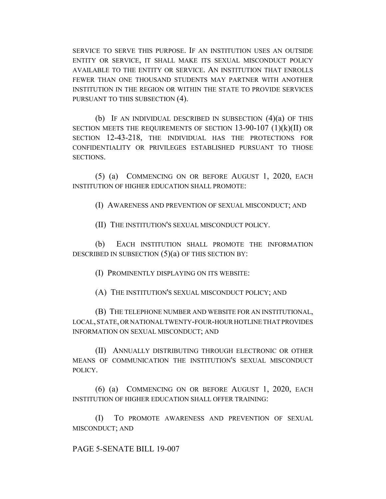SERVICE TO SERVE THIS PURPOSE. IF AN INSTITUTION USES AN OUTSIDE ENTITY OR SERVICE, IT SHALL MAKE ITS SEXUAL MISCONDUCT POLICY AVAILABLE TO THE ENTITY OR SERVICE. AN INSTITUTION THAT ENROLLS FEWER THAN ONE THOUSAND STUDENTS MAY PARTNER WITH ANOTHER INSTITUTION IN THE REGION OR WITHIN THE STATE TO PROVIDE SERVICES PURSUANT TO THIS SUBSECTION (4).

(b) IF AN INDIVIDUAL DESCRIBED IN SUBSECTION  $(4)(a)$  OF THIS SECTION MEETS THE REQUIREMENTS OF SECTION  $13-90-107$  (1)(k)(II) OR SECTION 12-43-218, THE INDIVIDUAL HAS THE PROTECTIONS FOR CONFIDENTIALITY OR PRIVILEGES ESTABLISHED PURSUANT TO THOSE SECTIONS.

(5) (a) COMMENCING ON OR BEFORE AUGUST 1, 2020, EACH INSTITUTION OF HIGHER EDUCATION SHALL PROMOTE:

(I) AWARENESS AND PREVENTION OF SEXUAL MISCONDUCT; AND

(II) THE INSTITUTION'S SEXUAL MISCONDUCT POLICY.

(b) EACH INSTITUTION SHALL PROMOTE THE INFORMATION DESCRIBED IN SUBSECTION (5)(a) OF THIS SECTION BY:

(I) PROMINENTLY DISPLAYING ON ITS WEBSITE:

(A) THE INSTITUTION'S SEXUAL MISCONDUCT POLICY; AND

(B) THE TELEPHONE NUMBER AND WEBSITE FOR AN INSTITUTIONAL, LOCAL, STATE, OR NATIONAL TWENTY-FOUR-HOUR HOTLINE THAT PROVIDES INFORMATION ON SEXUAL MISCONDUCT; AND

(II) ANNUALLY DISTRIBUTING THROUGH ELECTRONIC OR OTHER MEANS OF COMMUNICATION THE INSTITUTION'S SEXUAL MISCONDUCT POLICY.

(6) (a) COMMENCING ON OR BEFORE AUGUST 1, 2020, EACH INSTITUTION OF HIGHER EDUCATION SHALL OFFER TRAINING:

(I) TO PROMOTE AWARENESS AND PREVENTION OF SEXUAL MISCONDUCT; AND

PAGE 5-SENATE BILL 19-007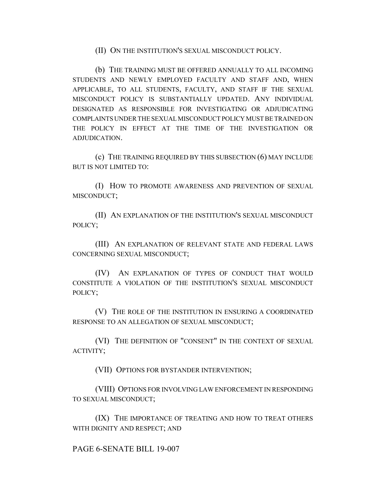### (II) ON THE INSTITUTION'S SEXUAL MISCONDUCT POLICY.

(b) THE TRAINING MUST BE OFFERED ANNUALLY TO ALL INCOMING STUDENTS AND NEWLY EMPLOYED FACULTY AND STAFF AND, WHEN APPLICABLE, TO ALL STUDENTS, FACULTY, AND STAFF IF THE SEXUAL MISCONDUCT POLICY IS SUBSTANTIALLY UPDATED. ANY INDIVIDUAL DESIGNATED AS RESPONSIBLE FOR INVESTIGATING OR ADJUDICATING COMPLAINTS UNDER THE SEXUAL MISCONDUCT POLICY MUST BE TRAINED ON THE POLICY IN EFFECT AT THE TIME OF THE INVESTIGATION OR ADJUDICATION.

(c) THE TRAINING REQUIRED BY THIS SUBSECTION (6) MAY INCLUDE BUT IS NOT LIMITED TO:

(I) HOW TO PROMOTE AWARENESS AND PREVENTION OF SEXUAL MISCONDUCT;

(II) AN EXPLANATION OF THE INSTITUTION'S SEXUAL MISCONDUCT POLICY;

(III) AN EXPLANATION OF RELEVANT STATE AND FEDERAL LAWS CONCERNING SEXUAL MISCONDUCT;

(IV) AN EXPLANATION OF TYPES OF CONDUCT THAT WOULD CONSTITUTE A VIOLATION OF THE INSTITUTION'S SEXUAL MISCONDUCT POLICY;

(V) THE ROLE OF THE INSTITUTION IN ENSURING A COORDINATED RESPONSE TO AN ALLEGATION OF SEXUAL MISCONDUCT;

(VI) THE DEFINITION OF "CONSENT" IN THE CONTEXT OF SEXUAL ACTIVITY;

(VII) OPTIONS FOR BYSTANDER INTERVENTION;

(VIII) OPTIONS FOR INVOLVING LAW ENFORCEMENT IN RESPONDING TO SEXUAL MISCONDUCT;

(IX) THE IMPORTANCE OF TREATING AND HOW TO TREAT OTHERS WITH DIGNITY AND RESPECT; AND

PAGE 6-SENATE BILL 19-007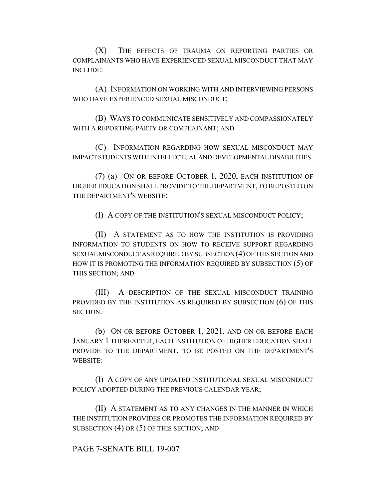(X) THE EFFECTS OF TRAUMA ON REPORTING PARTIES OR COMPLAINANTS WHO HAVE EXPERIENCED SEXUAL MISCONDUCT THAT MAY INCLUDE:

(A) INFORMATION ON WORKING WITH AND INTERVIEWING PERSONS WHO HAVE EXPERIENCED SEXUAL MISCONDUCT;

(B) WAYS TO COMMUNICATE SENSITIVELY AND COMPASSIONATELY WITH A REPORTING PARTY OR COMPLAINANT; AND

(C) INFORMATION REGARDING HOW SEXUAL MISCONDUCT MAY IMPACT STUDENTS WITH INTELLECTUAL AND DEVELOPMENTAL DISABILITIES.

(7) (a) ON OR BEFORE OCTOBER 1, 2020, EACH INSTITUTION OF HIGHER EDUCATION SHALL PROVIDE TO THE DEPARTMENT, TO BE POSTED ON THE DEPARTMENT'S WEBSITE:

(I) A COPY OF THE INSTITUTION'S SEXUAL MISCONDUCT POLICY;

(II) A STATEMENT AS TO HOW THE INSTITUTION IS PROVIDING INFORMATION TO STUDENTS ON HOW TO RECEIVE SUPPORT REGARDING SEXUAL MISCONDUCT AS REQUIRED BY SUBSECTION (4) OF THIS SECTION AND HOW IT IS PROMOTING THE INFORMATION REQUIRED BY SUBSECTION (5) OF THIS SECTION; AND

(III) A DESCRIPTION OF THE SEXUAL MISCONDUCT TRAINING PROVIDED BY THE INSTITUTION AS REQUIRED BY SUBSECTION (6) OF THIS SECTION.

(b) ON OR BEFORE OCTOBER 1, 2021, AND ON OR BEFORE EACH JANUARY 1 THEREAFTER, EACH INSTITUTION OF HIGHER EDUCATION SHALL PROVIDE TO THE DEPARTMENT, TO BE POSTED ON THE DEPARTMENT'S WEBSITE:

(I) A COPY OF ANY UPDATED INSTITUTIONAL SEXUAL MISCONDUCT POLICY ADOPTED DURING THE PREVIOUS CALENDAR YEAR;

(II) A STATEMENT AS TO ANY CHANGES IN THE MANNER IN WHICH THE INSTITUTION PROVIDES OR PROMOTES THE INFORMATION REQUIRED BY SUBSECTION (4) OR (5) OF THIS SECTION; AND

PAGE 7-SENATE BILL 19-007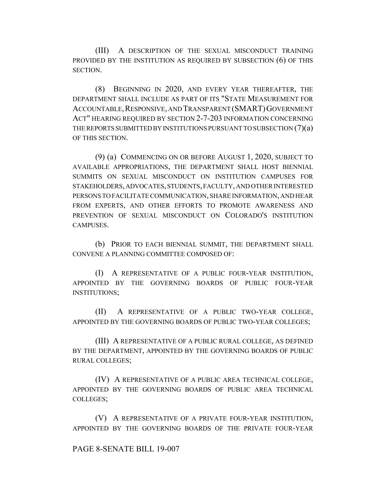(III) A DESCRIPTION OF THE SEXUAL MISCONDUCT TRAINING PROVIDED BY THE INSTITUTION AS REQUIRED BY SUBSECTION (6) OF THIS SECTION.

(8) BEGINNING IN 2020, AND EVERY YEAR THEREAFTER, THE DEPARTMENT SHALL INCLUDE AS PART OF ITS "STATE MEASUREMENT FOR ACCOUNTABLE,RESPONSIVE, AND TRANSPARENT (SMART)GOVERNMENT ACT" HEARING REQUIRED BY SECTION 2-7-203 INFORMATION CONCERNING THE REPORTS SUBMITTED BY INSTITUTIONS PURSUANT TO SUBSECTION (7)(a) OF THIS SECTION.

(9) (a) COMMENCING ON OR BEFORE AUGUST 1, 2020, SUBJECT TO AVAILABLE APPROPRIATIONS, THE DEPARTMENT SHALL HOST BIENNIAL SUMMITS ON SEXUAL MISCONDUCT ON INSTITUTION CAMPUSES FOR STAKEHOLDERS, ADVOCATES, STUDENTS, FACULTY, AND OTHER INTERESTED PERSONS TO FACILITATE COMMUNICATION, SHARE INFORMATION, AND HEAR FROM EXPERTS, AND OTHER EFFORTS TO PROMOTE AWARENESS AND PREVENTION OF SEXUAL MISCONDUCT ON COLORADO'S INSTITUTION CAMPUSES.

(b) PRIOR TO EACH BIENNIAL SUMMIT, THE DEPARTMENT SHALL CONVENE A PLANNING COMMITTEE COMPOSED OF:

(I) A REPRESENTATIVE OF A PUBLIC FOUR-YEAR INSTITUTION, APPOINTED BY THE GOVERNING BOARDS OF PUBLIC FOUR-YEAR INSTITUTIONS;

(II) A REPRESENTATIVE OF A PUBLIC TWO-YEAR COLLEGE, APPOINTED BY THE GOVERNING BOARDS OF PUBLIC TWO-YEAR COLLEGES;

(III) A REPRESENTATIVE OF A PUBLIC RURAL COLLEGE, AS DEFINED BY THE DEPARTMENT, APPOINTED BY THE GOVERNING BOARDS OF PUBLIC RURAL COLLEGES;

(IV) A REPRESENTATIVE OF A PUBLIC AREA TECHNICAL COLLEGE, APPOINTED BY THE GOVERNING BOARDS OF PUBLIC AREA TECHNICAL COLLEGES;

(V) A REPRESENTATIVE OF A PRIVATE FOUR-YEAR INSTITUTION, APPOINTED BY THE GOVERNING BOARDS OF THE PRIVATE FOUR-YEAR

# PAGE 8-SENATE BILL 19-007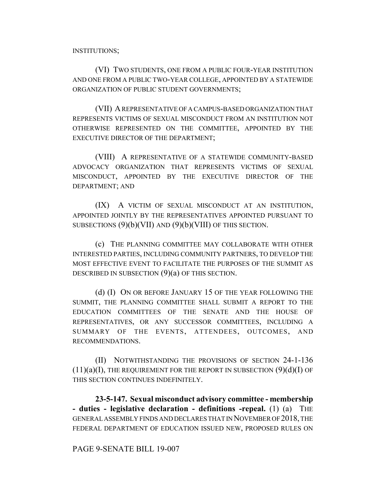INSTITUTIONS;

(VI) TWO STUDENTS, ONE FROM A PUBLIC FOUR-YEAR INSTITUTION AND ONE FROM A PUBLIC TWO-YEAR COLLEGE, APPOINTED BY A STATEWIDE ORGANIZATION OF PUBLIC STUDENT GOVERNMENTS;

(VII) A REPRESENTATIVE OF A CAMPUS-BASED ORGANIZATION THAT REPRESENTS VICTIMS OF SEXUAL MISCONDUCT FROM AN INSTITUTION NOT OTHERWISE REPRESENTED ON THE COMMITTEE, APPOINTED BY THE EXECUTIVE DIRECTOR OF THE DEPARTMENT;

(VIII) A REPRESENTATIVE OF A STATEWIDE COMMUNITY-BASED ADVOCACY ORGANIZATION THAT REPRESENTS VICTIMS OF SEXUAL MISCONDUCT, APPOINTED BY THE EXECUTIVE DIRECTOR OF THE DEPARTMENT; AND

(IX) A VICTIM OF SEXUAL MISCONDUCT AT AN INSTITUTION, APPOINTED JOINTLY BY THE REPRESENTATIVES APPOINTED PURSUANT TO SUBSECTIONS  $(9)(b)(VII)$  AND  $(9)(b)(VIII)$  OF THIS SECTION.

(c) THE PLANNING COMMITTEE MAY COLLABORATE WITH OTHER INTERESTED PARTIES, INCLUDING COMMUNITY PARTNERS, TO DEVELOP THE MOST EFFECTIVE EVENT TO FACILITATE THE PURPOSES OF THE SUMMIT AS DESCRIBED IN SUBSECTION (9)(a) OF THIS SECTION.

(d) (I) ON OR BEFORE JANUARY 15 OF THE YEAR FOLLOWING THE SUMMIT, THE PLANNING COMMITTEE SHALL SUBMIT A REPORT TO THE EDUCATION COMMITTEES OF THE SENATE AND THE HOUSE OF REPRESENTATIVES, OR ANY SUCCESSOR COMMITTEES, INCLUDING A SUMMARY OF THE EVENTS, ATTENDEES, OUTCOMES, AND RECOMMENDATIONS.

(II) NOTWITHSTANDING THE PROVISIONS OF SECTION 24-1-136  $(11)(a)(I)$ , THE REQUIREMENT FOR THE REPORT IN SUBSECTION  $(9)(d)(I)$  OF THIS SECTION CONTINUES INDEFINITELY.

**23-5-147. Sexual misconduct advisory committee - membership - duties - legislative declaration - definitions -repeal.** (1) (a) THE GENERAL ASSEMBLY FINDS AND DECLARES THAT IN NOVEMBER OF 2018, THE FEDERAL DEPARTMENT OF EDUCATION ISSUED NEW, PROPOSED RULES ON

## PAGE 9-SENATE BILL 19-007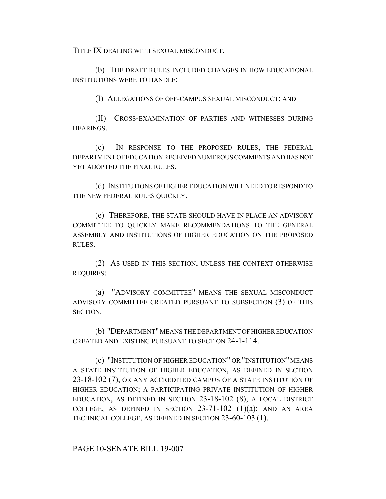TITLE IX DEALING WITH SEXUAL MISCONDUCT.

(b) THE DRAFT RULES INCLUDED CHANGES IN HOW EDUCATIONAL INSTITUTIONS WERE TO HANDLE:

(I) ALLEGATIONS OF OFF-CAMPUS SEXUAL MISCONDUCT; AND

(II) CROSS-EXAMINATION OF PARTIES AND WITNESSES DURING HEARINGS.

(c) IN RESPONSE TO THE PROPOSED RULES, THE FEDERAL DEPARTMENT OF EDUCATION RECEIVED NUMEROUS COMMENTS AND HAS NOT YET ADOPTED THE FINAL RULES.

(d) INSTITUTIONS OF HIGHER EDUCATION WILL NEED TO RESPOND TO THE NEW FEDERAL RULES QUICKLY.

(e) THEREFORE, THE STATE SHOULD HAVE IN PLACE AN ADVISORY COMMITTEE TO QUICKLY MAKE RECOMMENDATIONS TO THE GENERAL ASSEMBLY AND INSTITUTIONS OF HIGHER EDUCATION ON THE PROPOSED RULES.

(2) AS USED IN THIS SECTION, UNLESS THE CONTEXT OTHERWISE REQUIRES:

(a) "ADVISORY COMMITTEE" MEANS THE SEXUAL MISCONDUCT ADVISORY COMMITTEE CREATED PURSUANT TO SUBSECTION (3) OF THIS SECTION.

(b) "DEPARTMENT" MEANS THE DEPARTMENT OF HIGHER EDUCATION CREATED AND EXISTING PURSUANT TO SECTION 24-1-114.

(c) "INSTITUTION OF HIGHER EDUCATION" OR "INSTITUTION" MEANS A STATE INSTITUTION OF HIGHER EDUCATION, AS DEFINED IN SECTION 23-18-102 (7), OR ANY ACCREDITED CAMPUS OF A STATE INSTITUTION OF HIGHER EDUCATION; A PARTICIPATING PRIVATE INSTITUTION OF HIGHER EDUCATION, AS DEFINED IN SECTION 23-18-102 (8); A LOCAL DISTRICT COLLEGE, AS DEFINED IN SECTION  $23-71-102$  (1)(a); AND AN AREA TECHNICAL COLLEGE, AS DEFINED IN SECTION 23-60-103 (1).

PAGE 10-SENATE BILL 19-007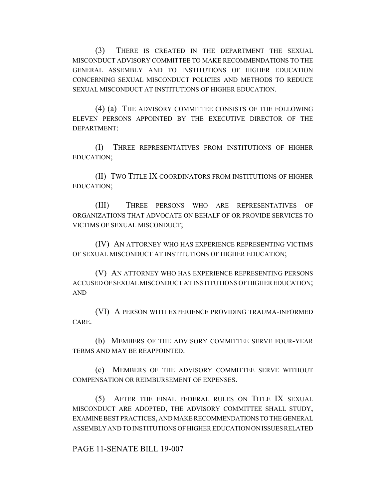(3) THERE IS CREATED IN THE DEPARTMENT THE SEXUAL MISCONDUCT ADVISORY COMMITTEE TO MAKE RECOMMENDATIONS TO THE GENERAL ASSEMBLY AND TO INSTITUTIONS OF HIGHER EDUCATION CONCERNING SEXUAL MISCONDUCT POLICIES AND METHODS TO REDUCE SEXUAL MISCONDUCT AT INSTITUTIONS OF HIGHER EDUCATION.

(4) (a) THE ADVISORY COMMITTEE CONSISTS OF THE FOLLOWING ELEVEN PERSONS APPOINTED BY THE EXECUTIVE DIRECTOR OF THE DEPARTMENT:

(I) THREE REPRESENTATIVES FROM INSTITUTIONS OF HIGHER EDUCATION;

(II) TWO TITLE IX COORDINATORS FROM INSTITUTIONS OF HIGHER EDUCATION;

(III) THREE PERSONS WHO ARE REPRESENTATIVES OF ORGANIZATIONS THAT ADVOCATE ON BEHALF OF OR PROVIDE SERVICES TO VICTIMS OF SEXUAL MISCONDUCT;

(IV) AN ATTORNEY WHO HAS EXPERIENCE REPRESENTING VICTIMS OF SEXUAL MISCONDUCT AT INSTITUTIONS OF HIGHER EDUCATION;

(V) AN ATTORNEY WHO HAS EXPERIENCE REPRESENTING PERSONS ACCUSED OF SEXUAL MISCONDUCT AT INSTITUTIONS OF HIGHER EDUCATION; AND

(VI) A PERSON WITH EXPERIENCE PROVIDING TRAUMA-INFORMED CARE.

(b) MEMBERS OF THE ADVISORY COMMITTEE SERVE FOUR-YEAR TERMS AND MAY BE REAPPOINTED.

(c) MEMBERS OF THE ADVISORY COMMITTEE SERVE WITHOUT COMPENSATION OR REIMBURSEMENT OF EXPENSES.

(5) AFTER THE FINAL FEDERAL RULES ON TITLE IX SEXUAL MISCONDUCT ARE ADOPTED, THE ADVISORY COMMITTEE SHALL STUDY, EXAMINE BEST PRACTICES, AND MAKE RECOMMENDATIONS TO THE GENERAL ASSEMBLY AND TO INSTITUTIONS OF HIGHER EDUCATION ON ISSUES RELATED

PAGE 11-SENATE BILL 19-007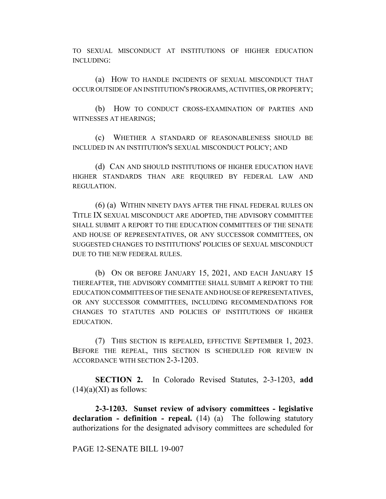TO SEXUAL MISCONDUCT AT INSTITUTIONS OF HIGHER EDUCATION INCLUDING:

(a) HOW TO HANDLE INCIDENTS OF SEXUAL MISCONDUCT THAT OCCUR OUTSIDE OF AN INSTITUTION'S PROGRAMS, ACTIVITIES, OR PROPERTY;

(b) HOW TO CONDUCT CROSS-EXAMINATION OF PARTIES AND WITNESSES AT HEARINGS;

(c) WHETHER A STANDARD OF REASONABLENESS SHOULD BE INCLUDED IN AN INSTITUTION'S SEXUAL MISCONDUCT POLICY; AND

(d) CAN AND SHOULD INSTITUTIONS OF HIGHER EDUCATION HAVE HIGHER STANDARDS THAN ARE REQUIRED BY FEDERAL LAW AND REGULATION.

(6) (a) WITHIN NINETY DAYS AFTER THE FINAL FEDERAL RULES ON TITLE IX SEXUAL MISCONDUCT ARE ADOPTED, THE ADVISORY COMMITTEE SHALL SUBMIT A REPORT TO THE EDUCATION COMMITTEES OF THE SENATE AND HOUSE OF REPRESENTATIVES, OR ANY SUCCESSOR COMMITTEES, ON SUGGESTED CHANGES TO INSTITUTIONS' POLICIES OF SEXUAL MISCONDUCT DUE TO THE NEW FEDERAL RULES.

(b) ON OR BEFORE JANUARY 15, 2021, AND EACH JANUARY 15 THEREAFTER, THE ADVISORY COMMITTEE SHALL SUBMIT A REPORT TO THE EDUCATION COMMITTEES OF THE SENATE AND HOUSE OF REPRESENTATIVES, OR ANY SUCCESSOR COMMITTEES, INCLUDING RECOMMENDATIONS FOR CHANGES TO STATUTES AND POLICIES OF INSTITUTIONS OF HIGHER EDUCATION.

(7) THIS SECTION IS REPEALED, EFFECTIVE SEPTEMBER 1, 2023. BEFORE THE REPEAL, THIS SECTION IS SCHEDULED FOR REVIEW IN ACCORDANCE WITH SECTION 2-3-1203.

**SECTION 2.** In Colorado Revised Statutes, 2-3-1203, **add**  $(14)(a)(XI)$  as follows:

**2-3-1203. Sunset review of advisory committees - legislative declaration - definition - repeal.** (14) (a) The following statutory authorizations for the designated advisory committees are scheduled for

PAGE 12-SENATE BILL 19-007